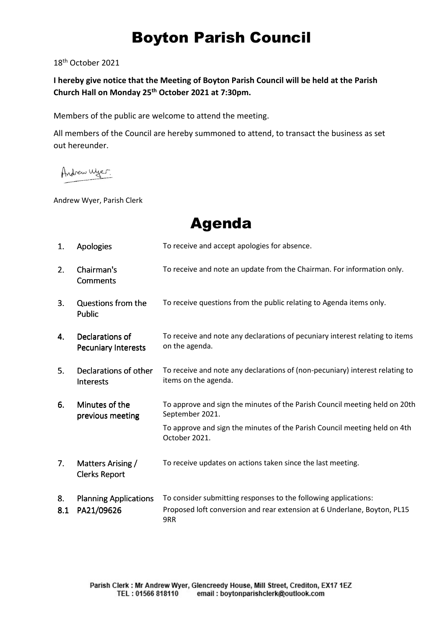## Boyton Parish Council

18th October 2021

**I hereby give notice that the Meeting of Boyton Parish Council will be held at the Parish Church Hall on Monday 25th October 2021 at 7:30pm.** 

Members of the public are welcome to attend the meeting.

All members of the Council are hereby summoned to attend, to transact the business as set out hereunder.

Andrew Wyer.

Andrew Wyer, Parish Clerk

Agenda

| 1.  | <b>Apologies</b>                              | To receive and accept apologies for absence.                                                         |  |
|-----|-----------------------------------------------|------------------------------------------------------------------------------------------------------|--|
| 2.  | Chairman's<br>Comments                        | To receive and note an update from the Chairman. For information only.                               |  |
| 3.  | Questions from the<br><b>Public</b>           | To receive questions from the public relating to Agenda items only.                                  |  |
| 4.  | Declarations of<br><b>Pecuniary Interests</b> | To receive and note any declarations of pecuniary interest relating to items<br>on the agenda.       |  |
| 5.  | Declarations of other<br><b>Interests</b>     | To receive and note any declarations of (non-pecuniary) interest relating to<br>items on the agenda. |  |
| 6.  | Minutes of the<br>previous meeting            | To approve and sign the minutes of the Parish Council meeting held on 20th<br>September 2021.        |  |
|     |                                               | To approve and sign the minutes of the Parish Council meeting held on 4th<br>October 2021.           |  |
| 7.  | Matters Arising /<br><b>Clerks Report</b>     | To receive updates on actions taken since the last meeting.                                          |  |
| 8.  | <b>Planning Applications</b><br>PA21/09626    | To consider submitting responses to the following applications:                                      |  |
| 8.1 |                                               | Proposed loft conversion and rear extension at 6 Underlane, Boyton, PL15<br>9RR                      |  |